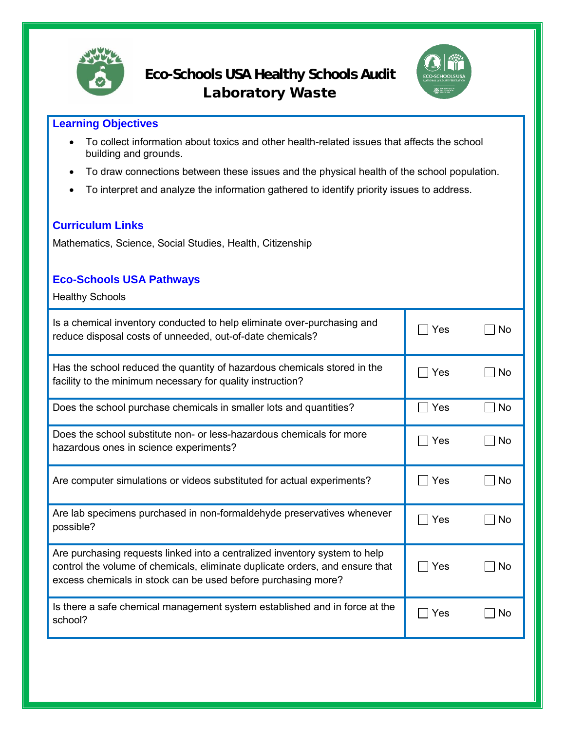



## **Learning Objectives**

- To collect information about toxics and other health-related issues that affects the school building and grounds.
- To draw connections between these issues and the physical health of the school population.
- To interpret and analyze the information gathered to identify priority issues to address.

## **Curriculum Links**

Mathematics, Science, Social Studies, Health, Citizenship

## **Eco-Schools USA Pathways**

Healthy Schools

| Is a chemical inventory conducted to help eliminate over-purchasing and<br>reduce disposal costs of unneeded, out-of-date chemicals?                                                                                        | Yes                 | No  |
|-----------------------------------------------------------------------------------------------------------------------------------------------------------------------------------------------------------------------------|---------------------|-----|
| Has the school reduced the quantity of hazardous chemicals stored in the<br>facility to the minimum necessary for quality instruction?                                                                                      | Yes                 | No. |
| Does the school purchase chemicals in smaller lots and quantities?                                                                                                                                                          | Yes                 | No  |
| Does the school substitute non- or less-hazardous chemicals for more<br>hazardous ones in science experiments?                                                                                                              | Yes<br>$\mathbf{I}$ | No  |
| Are computer simulations or videos substituted for actual experiments?                                                                                                                                                      | Yes                 | No  |
| Are lab specimens purchased in non-formaldehyde preservatives whenever<br>possible?                                                                                                                                         | Yes                 | No  |
| Are purchasing requests linked into a centralized inventory system to help<br>control the volume of chemicals, eliminate duplicate orders, and ensure that<br>excess chemicals in stock can be used before purchasing more? | Yes                 | No  |
| Is there a safe chemical management system established and in force at the<br>school?                                                                                                                                       | Yes                 | No  |